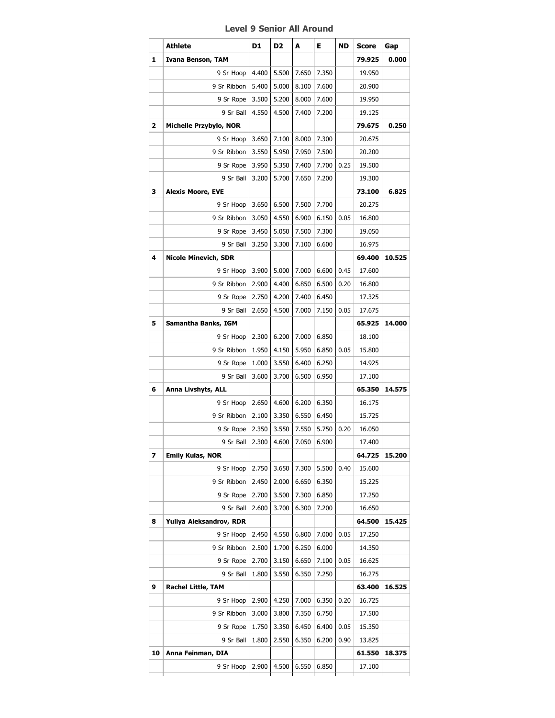## **Level 9 Senior All Around**

|    | <b>Athlete</b>              | D1    | D <sub>2</sub> | A     | Е     | ND   | Score  | Gap    |
|----|-----------------------------|-------|----------------|-------|-------|------|--------|--------|
| 1  | Ivana Benson, TAM           |       |                |       |       |      | 79.925 | 0.000  |
|    | 9 Sr Hoop                   | 4.400 | 5.500          | 7.650 | 7.350 |      | 19.950 |        |
|    | 9 Sr Ribbon                 | 5.400 | 5.000          | 8.100 | 7.600 |      | 20.900 |        |
|    | 9 Sr Rope $ $               | 3.500 | 5.200          | 8.000 | 7.600 |      | 19.950 |        |
|    | 9 Sr Ball                   | 4.550 | 4.500          | 7.400 | 7.200 |      | 19.125 |        |
| 2  | Michelle Przybylo, NOR      |       |                |       |       |      | 79.675 | 0.250  |
|    | 9 Sr Hoop                   | 3.650 | 7.100          | 8.000 | 7.300 |      | 20.675 |        |
|    | 9 Sr Ribbon                 | 3.550 | 5.950          | 7.950 | 7.500 |      | 20.200 |        |
|    | 9 Sr Rope                   | 3.950 | 5.350          | 7.400 | 7.700 | 0.25 | 19.500 |        |
|    | 9 Sr Ball                   | 3.200 | 5.700          | 7.650 | 7.200 |      | 19.300 |        |
| з  | <b>Alexis Moore, EVE</b>    |       |                |       |       |      | 73.100 | 6.825  |
|    | 9 Sr Hoop                   | 3.650 | 6.500          | 7.500 | 7.700 |      | 20.275 |        |
|    | 9 Sr Ribbon                 | 3.050 | 4.550          | 6.900 | 6.150 | 0.05 | 16.800 |        |
|    | 9 Sr Rope                   | 3.450 | 5.050          | 7.500 | 7.300 |      | 19.050 |        |
|    | 9 Sr Ball                   | 3.250 | 3.300          | 7.100 | 6.600 |      | 16.975 |        |
| 4  | <b>Nicole Minevich, SDR</b> |       |                |       |       |      | 69.400 | 10.525 |
|    | 9 Sr Hoop                   | 3.900 | 5.000          | 7.000 | 6.600 | 0.45 | 17.600 |        |
|    | 9 Sr Ribbon                 | 2.900 | 4.400          | 6.850 | 6.500 | 0.20 | 16.800 |        |
|    | 9 Sr Rope                   | 2.750 | 4.200          | 7.400 | 6.450 |      | 17.325 |        |
|    | 9 Sr Ball                   | 2.650 | 4.500          | 7.000 | 7.150 | 0.05 | 17.675 |        |
| 5  | Samantha Banks, IGM         |       |                |       |       |      | 65.925 | 14.000 |
|    | 9 Sr Hoop                   | 2.300 | 6.200          | 7.000 | 6.850 |      | 18.100 |        |
|    | 9 Sr Ribbon                 | 1.950 | 4.150          | 5.950 | 6.850 | 0.05 | 15.800 |        |
|    | 9 Sr Rope                   | 1.000 | 3.550          | 6.400 | 6.250 |      | 14.925 |        |
|    | 9 Sr Ball                   | 3.600 | 3.700          | 6.500 | 6.950 |      | 17.100 |        |
| 6  | Anna Livshyts, ALL          |       |                |       |       |      | 65.350 | 14.575 |
|    | 9 Sr Hoop                   | 2.650 | 4.600          | 6.200 | 6.350 |      | 16.175 |        |
|    | 9 Sr Ribbon                 | 2.100 | 3.350          | 6.550 | 6.450 |      | 15.725 |        |
|    | 9 Sr Rope                   | 2.350 | 3.550          | 7.550 | 5.750 | 0.20 | 16.050 |        |
|    | 9 Sr Ball   2.300           |       | 4.600          | 7.050 | 6.900 |      | 17.400 |        |
| 7  | <b>Emily Kulas, NOR</b>     |       |                |       |       |      | 64.725 | 15.200 |
|    | 9 Sr Hoop                   | 2.750 | 3.650          | 7.300 | 5.500 | 0.40 | 15.600 |        |
|    | 9 Sr Ribbon                 | 2.450 | 2.000          | 6.650 | 6.350 |      | 15.225 |        |
|    | 9 Sr Rope                   | 2.700 | 3.500          | 7.300 | 6.850 |      | 17.250 |        |
|    | 9 Sr Ball                   | 2.600 | 3.700          | 6.300 | 7.200 |      | 16.650 |        |
| 8  | Yuliya Aleksandrov, RDR     |       |                |       |       |      | 64.500 | 15.425 |
|    | 9 Sr Hoop                   | 2.450 | 4.550          | 6.800 | 7.000 | 0.05 | 17.250 |        |
|    | 9 Sr Ribbon                 | 2.500 | 1.700          | 6.250 | 6.000 |      | 14.350 |        |
|    | 9 Sr Rope                   | 2.700 | 3.150          | 6.650 | 7.100 | 0.05 | 16.625 |        |
|    | 9 Sr Ball                   | 1.800 | 3.550          | 6.350 | 7.250 |      | 16.275 |        |
| 9  | <b>Rachel Little, TAM</b>   |       |                |       |       |      | 63.400 | 16.525 |
|    | 9 Sr Hoop                   | 2.900 | 4.250          | 7.000 | 6.350 | 0.20 | 16.725 |        |
|    | 9 Sr Ribbon                 | 3.000 | 3.800          | 7.350 | 6.750 |      | 17.500 |        |
|    | 9 Sr Rope                   | 1.750 | 3.350          | 6.450 | 6.400 | 0.05 | 15.350 |        |
|    | 9 Sr Ball                   | 1.800 | 2.550          | 6.350 | 6.200 | 0.90 | 13.825 |        |
| 10 | Anna Feinman, DIA           |       |                |       |       |      | 61.550 | 18.375 |
|    |                             |       |                |       |       |      |        |        |